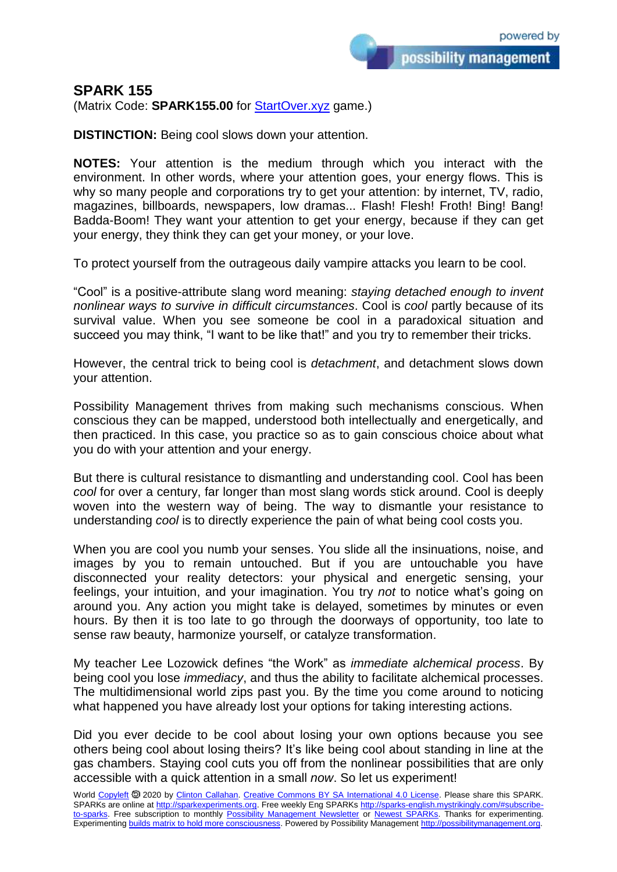## **SPARK 155**

(Matrix Code: **SPARK155.00** for **StartOver.xyz** game.)

**DISTINCTION:** Being cool slows down your attention.

**NOTES:** Your attention is the medium through which you interact with the environment. In other words, where your attention goes, your energy flows. This is why so many people and corporations try to get your attention: by internet, TV, radio, magazines, billboards, newspapers, low dramas... Flash! Flesh! Froth! Bing! Bang! Badda-Boom! They want your attention to get your energy, because if they can get your energy, they think they can get your money, or your love.

To protect yourself from the outrageous daily vampire attacks you learn to be cool.

"Cool" is a positive-attribute slang word meaning: *staying detached enough to invent nonlinear ways to survive in difficult circumstances*. Cool is *cool* partly because of its survival value. When you see someone be cool in a paradoxical situation and succeed you may think, "I want to be like that!" and you try to remember their tricks.

However, the central trick to being cool is *detachment*, and detachment slows down your attention.

Possibility Management thrives from making such mechanisms conscious. When conscious they can be mapped, understood both intellectually and energetically, and then practiced. In this case, you practice so as to gain conscious choice about what you do with your attention and your energy.

But there is cultural resistance to dismantling and understanding cool. Cool has been *cool* for over a century, far longer than most slang words stick around. Cool is deeply woven into the western way of being. The way to dismantle your resistance to understanding *cool* is to directly experience the pain of what being cool costs you.

When you are cool you numb your senses. You slide all the insinuations, noise, and images by you to remain untouched. But if you are untouchable you have disconnected your reality detectors: your physical and energetic sensing, your feelings, your intuition, and your imagination. You try *not* to notice what's going on around you. Any action you might take is delayed, sometimes by minutes or even hours. By then it is too late to go through the doorways of opportunity, too late to sense raw beauty, harmonize yourself, or catalyze transformation.

My teacher Lee Lozowick defines "the Work" as *immediate alchemical process*. By being cool you lose *immediacy*, and thus the ability to facilitate alchemical processes. The multidimensional world zips past you. By the time you come around to noticing what happened you have already lost your options for taking interesting actions.

Did you ever decide to be cool about losing your own options because you see others being cool about losing theirs? It's like being cool about standing in line at the gas chambers. Staying cool cuts you off from the nonlinear possibilities that are only accessible with a quick attention in a small *now*. So let us experiment!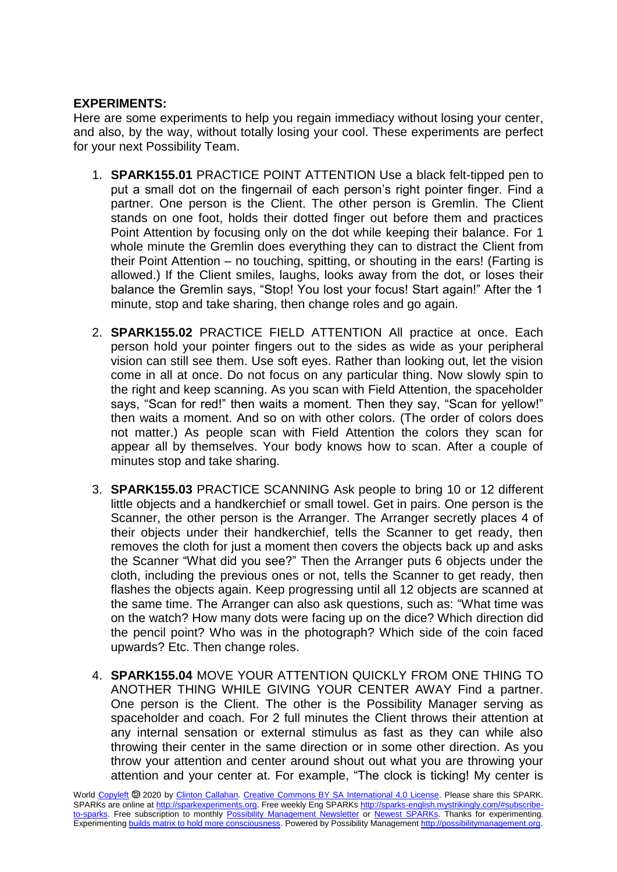## **EXPERIMENTS:**

Here are some experiments to help you regain immediacy without losing your center, and also, by the way, without totally losing your cool. These experiments are perfect for your next Possibility Team.

- 1. **SPARK155.01** PRACTICE POINT ATTENTION Use a black felt-tipped pen to put a small dot on the fingernail of each person's right pointer finger. Find a partner. One person is the Client. The other person is Gremlin. The Client stands on one foot, holds their dotted finger out before them and practices Point Attention by focusing only on the dot while keeping their balance. For 1 whole minute the Gremlin does everything they can to distract the Client from their Point Attention – no touching, spitting, or shouting in the ears! (Farting is allowed.) If the Client smiles, laughs, looks away from the dot, or loses their balance the Gremlin says, "Stop! You lost your focus! Start again!" After the 1 minute, stop and take sharing, then change roles and go again.
- 2. **SPARK155.02** PRACTICE FIELD ATTENTION All practice at once. Each person hold your pointer fingers out to the sides as wide as your peripheral vision can still see them. Use soft eyes. Rather than looking out, let the vision come in all at once. Do not focus on any particular thing. Now slowly spin to the right and keep scanning. As you scan with Field Attention, the spaceholder says, "Scan for red!" then waits a moment. Then they say, "Scan for yellow!" then waits a moment. And so on with other colors. (The order of colors does not matter.) As people scan with Field Attention the colors they scan for appear all by themselves. Your body knows how to scan. After a couple of minutes stop and take sharing.
- 3. **SPARK155.03** PRACTICE SCANNING Ask people to bring 10 or 12 different little objects and a handkerchief or small towel. Get in pairs. One person is the Scanner, the other person is the Arranger. The Arranger secretly places 4 of their objects under their handkerchief, tells the Scanner to get ready, then removes the cloth for just a moment then covers the objects back up and asks the Scanner "What did you see?" Then the Arranger puts 6 objects under the cloth, including the previous ones or not, tells the Scanner to get ready, then flashes the objects again. Keep progressing until all 12 objects are scanned at the same time. The Arranger can also ask questions, such as: "What time was on the watch? How many dots were facing up on the dice? Which direction did the pencil point? Who was in the photograph? Which side of the coin faced upwards? Etc. Then change roles.
- 4. **SPARK155.04** MOVE YOUR ATTENTION QUICKLY FROM ONE THING TO ANOTHER THING WHILE GIVING YOUR CENTER AWAY Find a partner. One person is the Client. The other is the Possibility Manager serving as spaceholder and coach. For 2 full minutes the Client throws their attention at any internal sensation or external stimulus as fast as they can while also throwing their center in the same direction or in some other direction. As you throw your attention and center around shout out what you are throwing your attention and your center at. For example, "The clock is ticking! My center is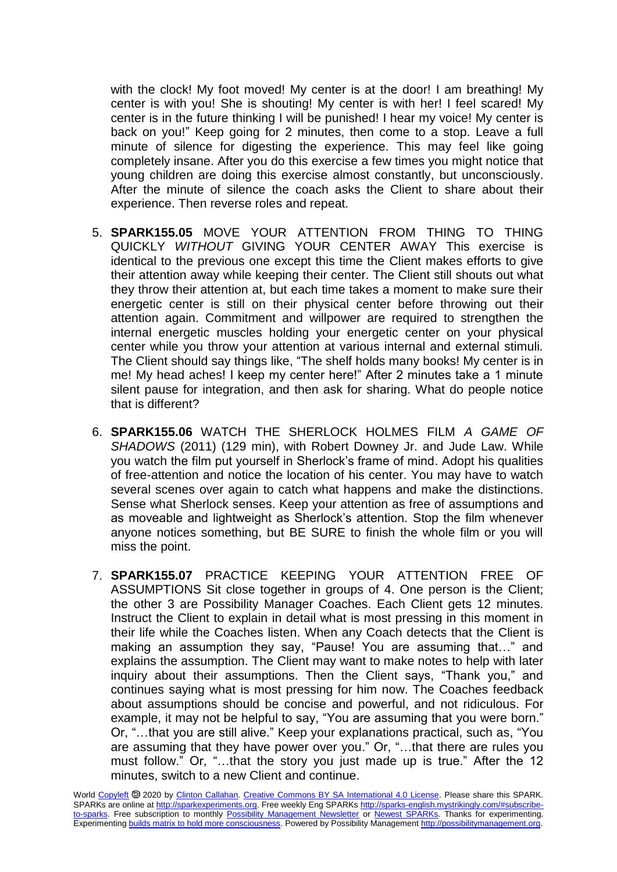with the clock! My foot moved! My center is at the door! I am breathing! My center is with you! She is shouting! My center is with her! I feel scared! My center is in the future thinking I will be punished! I hear my voice! My center is back on you!" Keep going for 2 minutes, then come to a stop. Leave a full minute of silence for digesting the experience. This may feel like going completely insane. After you do this exercise a few times you might notice that young children are doing this exercise almost constantly, but unconsciously. After the minute of silence the coach asks the Client to share about their experience. Then reverse roles and repeat.

- 5. **SPARK155.05** MOVE YOUR ATTENTION FROM THING TO THING QUICKLY *WITHOUT* GIVING YOUR CENTER AWAY This exercise is identical to the previous one except this time the Client makes efforts to give their attention away while keeping their center. The Client still shouts out what they throw their attention at, but each time takes a moment to make sure their energetic center is still on their physical center before throwing out their attention again. Commitment and willpower are required to strengthen the internal energetic muscles holding your energetic center on your physical center while you throw your attention at various internal and external stimuli. The Client should say things like, "The shelf holds many books! My center is in me! My head aches! I keep my center here!" After 2 minutes take a 1 minute silent pause for integration, and then ask for sharing. What do people notice that is different?
- 6. **SPARK155.06** WATCH THE SHERLOCK HOLMES FILM *A GAME OF SHADOWS* (2011) (129 min), with Robert Downey Jr. and Jude Law. While you watch the film put yourself in Sherlock's frame of mind. Adopt his qualities of free-attention and notice the location of his center. You may have to watch several scenes over again to catch what happens and make the distinctions. Sense what Sherlock senses. Keep your attention as free of assumptions and as moveable and lightweight as Sherlock's attention. Stop the film whenever anyone notices something, but BE SURE to finish the whole film or you will miss the point.
- 7. **SPARK155.07** PRACTICE KEEPING YOUR ATTENTION FREE OF ASSUMPTIONS Sit close together in groups of 4. One person is the Client; the other 3 are Possibility Manager Coaches. Each Client gets 12 minutes. Instruct the Client to explain in detail what is most pressing in this moment in their life while the Coaches listen. When any Coach detects that the Client is making an assumption they say, "Pause! You are assuming that…" and explains the assumption. The Client may want to make notes to help with later inquiry about their assumptions. Then the Client says, "Thank you," and continues saying what is most pressing for him now. The Coaches feedback about assumptions should be concise and powerful, and not ridiculous. For example, it may not be helpful to say, "You are assuming that you were born." Or, "…that you are still alive." Keep your explanations practical, such as, "You are assuming that they have power over you." Or, "…that there are rules you must follow." Or, "…that the story you just made up is true." After the 12 minutes, switch to a new Client and continue.